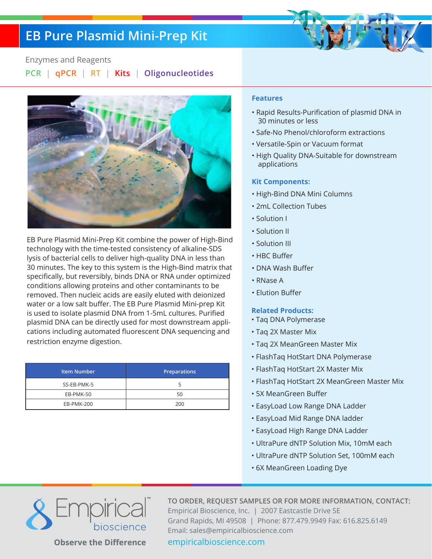## **EB Pure Plasmid Mini-Prep Kit**



#### Enzymes and Reagents

**PCR** | **qPCR** | **RT** | **Kits** | **Oligonucleotides**



EB Pure Plasmid Mini-Prep Kit combine the power of High-Bind technology with the time-tested consistency of alkaline-SDS lysis of bacterial cells to deliver high-quality DNA in less than 30 minutes. The key to this system is the High-Bind matrix that specifically, but reversibly, binds DNA or RNA under optimized conditions allowing proteins and other contaminants to be removed. Then nucleic acids are easily eluted with deionized water or a low salt buffer. The EB Pure Plasmid Mini-prep Kit is used to isolate plasmid DNA from 1-5mL cultures. Purified plasmid DNA can be directly used for most downstream applications including automated fluorescent DNA sequencing and restriction enzyme digestion.

| <b>Item Number</b> | <b>Preparations</b> |
|--------------------|---------------------|
| SS-EB-PMK-5        |                     |
| EB-PMK-50          | 50                  |
| EB-PMK-200         | 200                 |

#### **Features**

- Rapid Results-Purification of plasmid DNA in 30 minutes or less
- Safe-No Phenol/chloroform extractions
- Versatile-Spin or Vacuum format
- High Quality DNA-Suitable for downstream applications

#### **Kit Components:**

- High-Bind DNA Mini Columns
- 2mL Collection Tubes
- Solution I
- Solution II
- Solution III
- HBC Buffer
- DNA Wash Buffer
- RNase A
- Elution Buffer

#### **Related Products:**

- Taq DNA Polymerase
- Taq 2X Master Mix
- Taq 2X MeanGreen Master Mix
- FlashTaq HotStart DNA Polymerase
- FlashTaq HotStart 2X Master Mix
- FlashTaq HotStart 2X MeanGreen Master Mix
- 5X MeanGreen Buffer
- EasyLoad Low Range DNA Ladder
- EasyLoad Mid Range DNA ladder
- EasyLoad High Range DNA Ladder
- UltraPure dNTP Solution Mix, 10mM each
- UltraPure dNTP Solution Set, 100mM each
- 6X MeanGreen Loading Dye



**TO ORDER, REQUEST SAMPLES OR FOR MORE INFORMATION, CONTACT:** Empirical Bioscience, Inc. | 2007 Eastcastle Drive SE Grand Rapids, MI 49508 | Phone: 877.479.9949 Fax: 616.825.6149 Email: sales@empiricalbioscience.com

**Observe the Difference.** empiricalbioscience.com